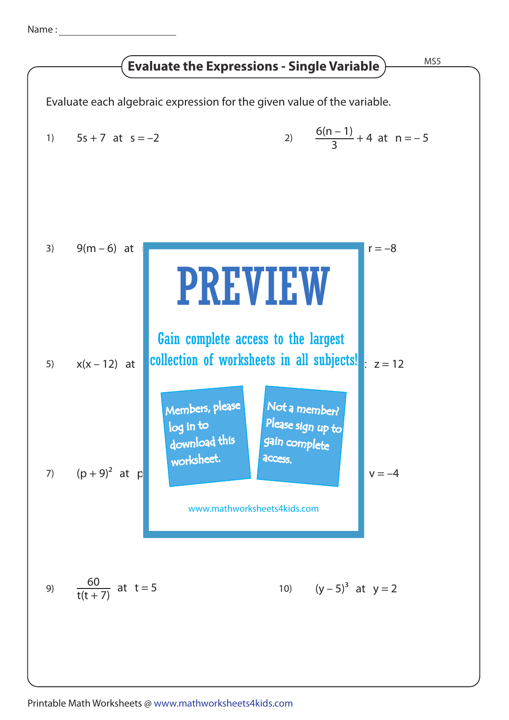